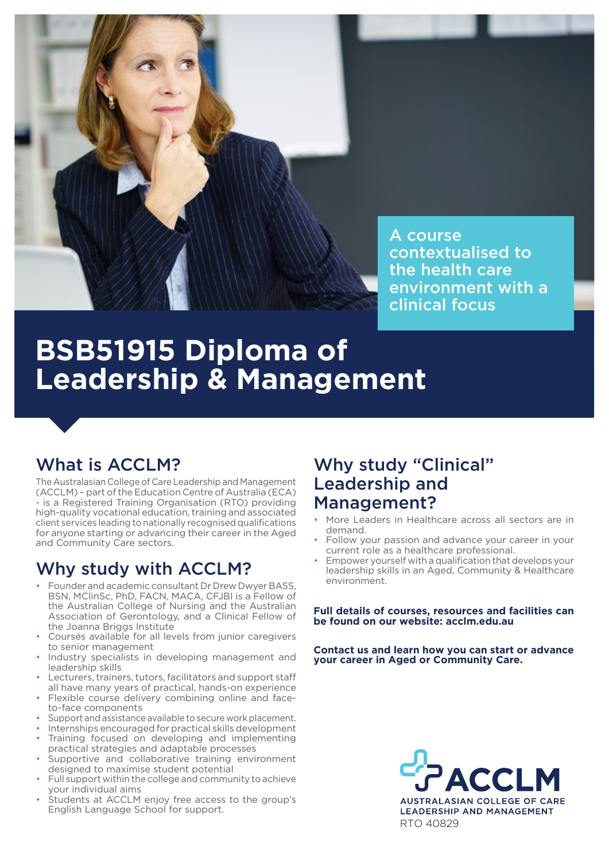

A course contextualised to the health care environment with a clinical focus

# **BSB51915 Diploma of Leadership & Management**

# What is ACCLM?

The Australasian College of Care Leadership and Management (ACCLM) – part of the Education Centre of Australia (ECA) - is a Registered Training Organisation (RTO) providing high-quality vocational education, training and associated client services leading to nationally recognised qualifications for anyone starting or advancing their career in the Aged and Community Care sectors.

# Why study with ACCLM?

- Founder and academic consultant Dr Drew Dwyer BASS, BSN, MClinSc, PhD, FACN, MACA, CFJBI is a Fellow of the Australian College of Nursing and the Australian Association of Gerontology, and a Clinical Fellow of the Joanna Briggs Institute
- Courses available for all levels from junior caregivers to senior management
- Industry specialists in developing management and leadership skills
- Lecturers, trainers, tutors, facilitators and support staff all have many years of practical, hands-on experience
- Flexible course delivery combining online and faceto-face components
- Support and assistance available to secure work placement.
- Internships encouraged for practical skills development • Training focused on developing and implementing
- practical strategies and adaptable processes Supportive and collaborative training environment
- designed to maximise student potential • Full support within the college and community to achieve
- your individual aims
- Students at ACCLM enjoy free access to the group's English Language School for support.

# Why study "Clinical" Leadership and Management?

- More Leaders in Healthcare across all sectors are in demand.
- Follow your passion and advance your career in your current role as a healthcare professional.
- Empower yourself with a qualification that develops your leadership skills in an Aged, Community & Healthcare environment.

**Full details of courses, resources and facilities can be found on our website: acclm.edu.au**

**Contact us and learn how you can start or advance your career in Aged or Community Care.**